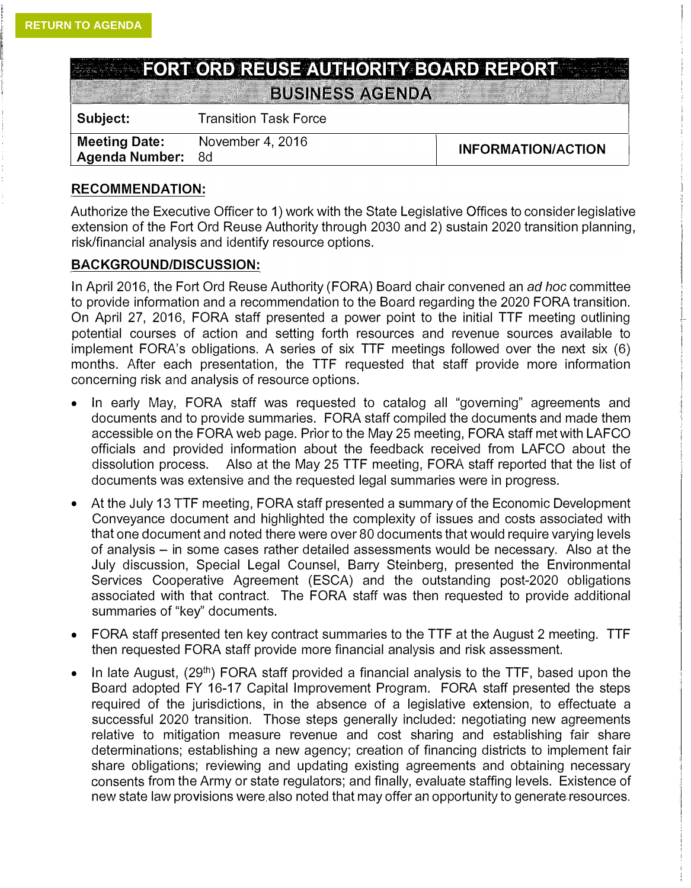|  | <b>EXAMPLE THE FORT ORD REDSE AUTHORITY BOARD REPORT</b> |  |  |  |
|--|----------------------------------------------------------|--|--|--|
|  |                                                          |  |  |  |
|  |                                                          |  |  |  |
|  |                                                          |  |  |  |
|  |                                                          |  |  |  |
|  |                                                          |  |  |  |
|  |                                                          |  |  |  |
|  |                                                          |  |  |  |
|  |                                                          |  |  |  |
|  |                                                          |  |  |  |
|  |                                                          |  |  |  |
|  |                                                          |  |  |  |

**BUSINESS AGENDA** 

| Subject:                                  | <b>Transition Task Force</b> |                           |
|-------------------------------------------|------------------------------|---------------------------|
| Meeting Date:<br><b>Agenda Number: 8d</b> | November 4, 2016             | <b>INFORMATION/ACTION</b> |

## **RECOMMENDATION:**

Authorize the Executive Officer to 1) work with the State Legislative Offices to consider legislative extension of the Fort Ord Reuse Authority through 2030 and 2) sustain 2020 transition planning, risk/financial analysis and identify resource options.

## **BACKGROUND/DISCUSSION:**

In April 2016, the Fort Ord Reuse Authority (FORA) Board chair convened an *ad hoc* committee to provide information and a recommendation to the Board regarding the 2020 FORA transition. On April 27, 2016, FORA staff presented a power point to the initial TTF meeting outlining potential courses of action and setting forth resources and revenue sources available to implement FORA's obligations. A series of six TTF meetings followed over the next six (6) months. After each presentation, the TTF requested that staff provide more information concerning risk and analysis of resource options.

- In early May, FORA staff was requested to catalog all "governing" agreements and documents and to provide summaries. FORA staff compiled the documents and made them accessible on the FORA web page. Prior to the May 25 meeting, FORA staff met with LAFCO officials and provided information about the feedback received from LAFCO about the dissolution process. Also at the May 25 TTF meeting, FORA staff reported that the list of documents was extensive and the requested legal summaries were in progress.
- At the July 13 TTF meeting, FORA staff presented a summary of the Economic Development Conveyance document and highlighted the complexity of issues and costs associated with that one document and noted there were over 80 documents that would require varying levels of analysis - in some cases rather detailed assessments would be necessary. Also at the July discussion, Special Legal Counsel, Barry Steinberg, presented the Environmental Services Cooperative Agreement (ESCA) and the outstanding post-2020 obligations associated with that contract. The FORA staff was then requested to provide additional summaries of "key" documents.
- FORA staff presented ten key contract summaries to the TTF at the August 2 meeting. TTF then requested FORA staff provide more financial analysis and risk assessment.
- In late August,  $(29<sup>th</sup>)$  FORA staff provided a financial analysis to the TTF, based upon the Board adopted FY 16-17 Capital Improvement Program. FORA staff presented the steps required of the jurisdictions, in the absence of a legislative extension, to effectuate a successful 2020 transition. Those steps generally included: negotiating new agreements relative to mitigation measure revenue and cost sharing and establishing fair share determinations; establishing a new agency; creation of financing districts to implement fair share obligations; reviewing and updating existing agreements and obtaining necessary consents from the Army or state regulators; and finally, evaluate staffing levels. Existence of new state law provisions were also noted that may offer an opportunity to generate resources.